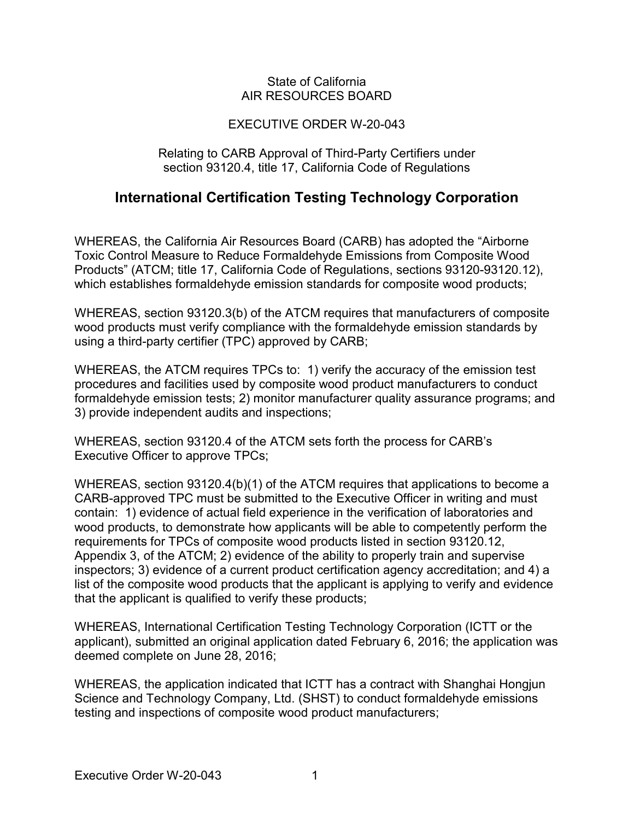#### State of California AIR RESOURCES BOARD

### EXECUTIVE ORDER W-20-043

#### Relating to CARB Approval of Third-Party Certifiers under section 93120.4, title 17, California Code of Regulations

## **International Certification Testing Technology Corporation**

 which establishes formaldehyde emission standards for composite wood products; WHEREAS, the California Air Resources Board (CARB) has adopted the "Airborne Toxic Control Measure to Reduce Formaldehyde Emissions from Composite Wood Products" (ATCM; title 17, California Code of Regulations, sections 93120-93120.12),

 using a third-party certifier (TPC) approved by CARB; WHEREAS, section 93120.3(b) of the ATCM requires that manufacturers of composite wood products must verify compliance with the formaldehyde emission standards by

 WHEREAS, the ATCM requires TPCs to: 1) verify the accuracy of the emission test procedures and facilities used by composite wood product manufacturers to conduct formaldehyde emission tests; 2) monitor manufacturer quality assurance programs; and 3) provide independent audits and inspections;

 WHEREAS, section 93120.4 of the ATCM sets forth the process for CARB's Executive Officer to approve TPCs;

 CARB-approved TPC must be submitted to the Executive Officer in writing and must contain: 1) evidence of actual field experience in the verification of laboratories and that the applicant is qualified to verify these products; WHEREAS, section 93120.4(b)(1) of the ATCM requires that applications to become a wood products, to demonstrate how applicants will be able to competently perform the requirements for TPCs of composite wood products listed in section 93120.12, Appendix 3, of the ATCM; 2) evidence of the ability to properly train and supervise inspectors; 3) evidence of a current product certification agency accreditation; and 4) a list of the composite wood products that the applicant is applying to verify and evidence

WHEREAS, International Certification Testing Technology Corporation (ICTT or the applicant), submitted an original application dated February 6, 2016; the application was deemed complete on June 28, 2016;

WHEREAS, the application indicated that ICTT has a contract with Shanghai Hongjun Science and Technology Company, Ltd. (SHST) to conduct formaldehyde emissions testing and inspections of composite wood product manufacturers;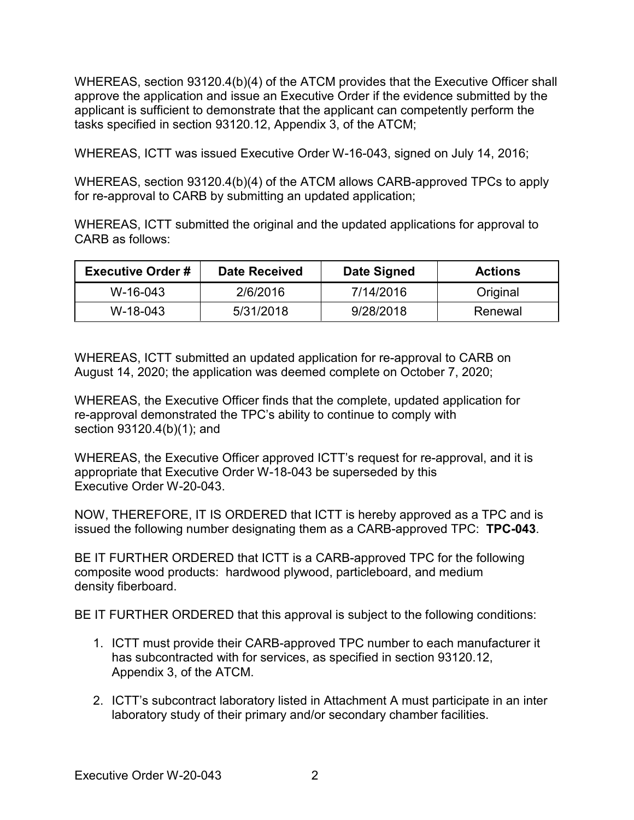tasks specified in section 93120.12, Appendix 3, of the ATCM; WHEREAS, section 93120.4(b)(4) of the ATCM provides that the Executive Officer shall approve the application and issue an Executive Order if the evidence submitted by the applicant is sufficient to demonstrate that the applicant can competently perform the

WHEREAS, ICTT was issued Executive Order W-16-043, signed on July 14, 2016;

 WHEREAS, section 93120.4(b)(4) of the ATCM allows CARB-approved TPCs to apply for re-approval to CARB by submitting an updated application;

 WHEREAS, ICTT submitted the original and the updated applications for approval to CARB as follows:

| <b>Executive Order #</b> | <b>Date Received</b> | Date Signed | <b>Actions</b> |
|--------------------------|----------------------|-------------|----------------|
| W-16-043                 | 2/6/2016             | 7/14/2016   | Original       |
| W-18-043                 | 5/31/2018            | 9/28/2018   | Renewal        |

 August 14, 2020; the application was deemed complete on October 7, 2020; WHEREAS, ICTT submitted an updated application for re-approval to CARB on

 section 93120.4(b)(1); and WHEREAS, the Executive Officer finds that the complete, updated application for re-approval demonstrated the TPC's ability to continue to comply with

 appropriate that Executive Order W-18-043 be superseded by this Executive Order W-20-043. WHEREAS, the Executive Officer approved ICTT's request for re-approval, and it is

 NOW, THEREFORE, IT IS ORDERED that ICTT is hereby approved as a TPC and is issued the following number designating them as a CARB-approved TPC: **TPC-043**.

 BE IT FURTHER ORDERED that ICTT is a CARB-approved TPC for the following composite wood products: hardwood plywood, particleboard, and medium density fiberboard.

BE IT FURTHER ORDERED that this approval is subject to the following conditions:

- 1. ICTT must provide their CARB-approved TPC number to each manufacturer it Appendix 3, of the ATCM. has subcontracted with for services, as specified in section 93120.12,
- 2. ICTT's subcontract laboratory listed in Attachment A must participate in an inter laboratory study of their primary and/or secondary chamber facilities.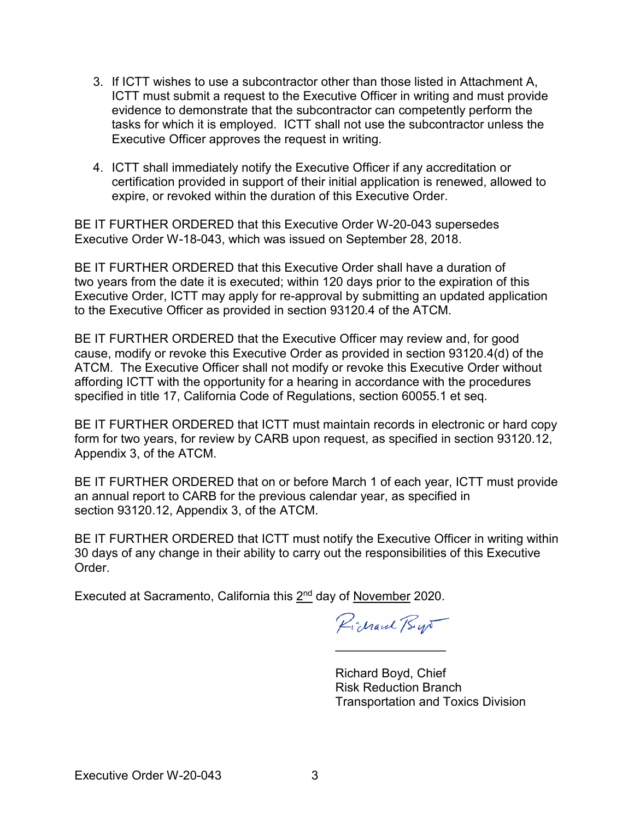- 3. If ICTT wishes to use a subcontractor other than those listed in Attachment A, tasks for which it is employed. ICTT shall not use the subcontractor unless the ICTT must submit a request to the Executive Officer in writing and must provide evidence to demonstrate that the subcontractor can competently perform the Executive Officer approves the request in writing.
- 4. ICTT shall immediately notify the Executive Officer if any accreditation or expire, or revoked within the duration of this Executive Order. certification provided in support of their initial application is renewed, allowed to

 BE IT FURTHER ORDERED that this Executive Order W-20-043 supersedes Executive Order W-18-043, which was issued on September 28, 2018.

BE IT FURTHER ORDERED that this Executive Order shall have a duration of two years from the date it is executed; within 120 days prior to the expiration of this Executive Order, ICTT may apply for re-approval by submitting an updated application to the Executive Officer as provided in section 93120.4 of the ATCM.

 BE IT FURTHER ORDERED that the Executive Officer may review and, for good ATCM. The Executive Officer shall not modify or revoke this Executive Order without affording ICTT with the opportunity for a hearing in accordance with the procedures specified in title 17, California Code of Regulations, section 60055.1 et seq. cause, modify or revoke this Executive Order as provided in section 93120.4(d) of the

 BE IT FURTHER ORDERED that ICTT must maintain records in electronic or hard copy form for two years, for review by CARB upon request, as specified in section 93120.12, Appendix 3, of the ATCM.

 BE IT FURTHER ORDERED that on or before March 1 of each year, ICTT must provide section [93120.12,](https://93120.12) Appendix 3, of the ATCM. an annual report to CARB for the previous calendar year, as specified in

 BE IT FURTHER ORDERED that ICTT must notify the Executive Officer in writing within 30 days of any change in their ability to carry out the responsibilities of this Executive **Order** 

Executed at Sacramento, California this 2<sup>nd</sup> day of November 2020.

Pichaul Bys

\_\_\_\_\_\_\_\_\_\_\_\_\_\_\_\_

Richard Boyd, Chief Risk Reduction Branch Transportation and Toxics Division